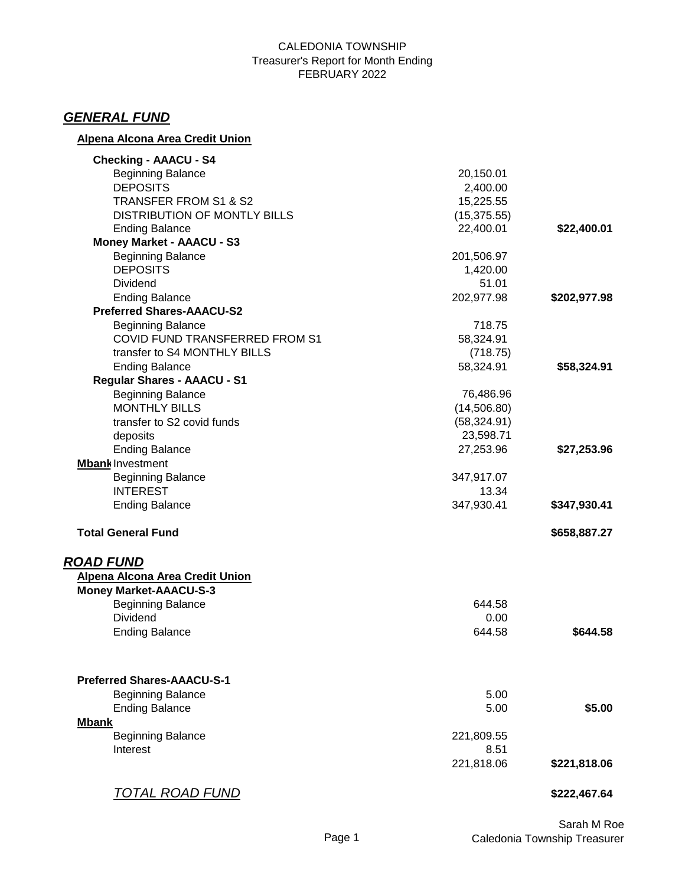#### CALEDONIA TOWNSHIP Treasurer's Report for Month Ending FEBRUARY 2022

# *GENERAL FUND*

## **Alpena Alcona Area Credit Union**

| <b>Checking - AAACU - S4</b>        |              |              |
|-------------------------------------|--------------|--------------|
| <b>Beginning Balance</b>            | 20,150.01    |              |
| <b>DEPOSITS</b>                     | 2,400.00     |              |
| TRANSFER FROM S1 & S2               | 15,225.55    |              |
| <b>DISTRIBUTION OF MONTLY BILLS</b> | (15, 375.55) |              |
| <b>Ending Balance</b>               | 22,400.01    | \$22,400.01  |
| <b>Money Market - AAACU - S3</b>    |              |              |
| <b>Beginning Balance</b>            | 201,506.97   |              |
| <b>DEPOSITS</b>                     | 1,420.00     |              |
| <b>Dividend</b>                     | 51.01        |              |
| <b>Ending Balance</b>               | 202,977.98   | \$202,977.98 |
| <b>Preferred Shares-AAACU-S2</b>    |              |              |
| <b>Beginning Balance</b>            | 718.75       |              |
| COVID FUND TRANSFERRED FROM S1      | 58,324.91    |              |
| transfer to S4 MONTHLY BILLS        | (718.75)     |              |
| <b>Ending Balance</b>               | 58,324.91    | \$58,324.91  |
| <b>Regular Shares - AAACU - S1</b>  |              |              |
| <b>Beginning Balance</b>            | 76,486.96    |              |
| <b>MONTHLY BILLS</b>                | (14, 506.80) |              |
| transfer to S2 covid funds          | (58, 324.91) |              |
| deposits                            | 23,598.71    |              |
| <b>Ending Balance</b>               | 27,253.96    | \$27,253.96  |
| <b>Mbank Investment</b>             |              |              |
| <b>Beginning Balance</b>            | 347,917.07   |              |
| <b>INTEREST</b>                     | 13.34        |              |
| <b>Ending Balance</b>               | 347,930.41   | \$347,930.41 |
| <b>Total General Fund</b>           |              | \$658,887.27 |
| <b>ROAD FUND</b>                    |              |              |
| Alpena Alcona Area Credit Union     |              |              |
| <b>Money Market-AAACU-S-3</b>       |              |              |
| <b>Beginning Balance</b>            | 644.58       |              |
| <b>Dividend</b>                     | 0.00         |              |
| <b>Ending Balance</b>               | 644.58       | \$644.58     |
|                                     |              |              |
| <b>Preferred Shares-AAACU-S-1</b>   |              |              |
| <b>Beginning Balance</b>            | 5.00         |              |
| <b>Ending Balance</b>               | 5.00         | \$5.00       |
| <b>Mbank</b>                        |              |              |
| <b>Beginning Balance</b>            | 221,809.55   |              |
| Interest                            | 8.51         |              |
|                                     | 221,818.06   | \$221,818.06 |
| <u>TOTAL ROAD FUND</u>              |              | \$222,467.64 |
|                                     |              |              |